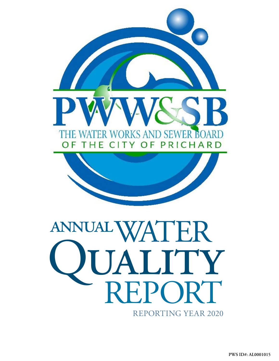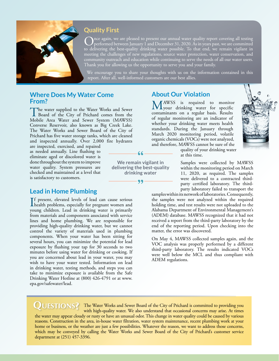

### **Quality First**

nce again, we are pleased to present our annual water quality report covering all testing performed between January 1 and December 31, 2020. As in years past, we are committed to delivering the best-quality drinking water possible. To that end, we remain vigilant in meeting the challenges of new regulations, source water protection, water conservation, and community outreach and education while continuing to serve the needs of all our water users. Thank you for allowing us the opportunity to serve you and your family.

We encourage you to share your thoughts with us on the information contained in this report. After all, well-informed customers are our best allies.

#### **Where Does My Water Come From?**

The water supplied to the Water Works and Sewer<br>Board of the City of Prichard comes from the<br>Makila Ages Water and Seweg Septem (MAWGS) Mobile Area Water and Sewer System (MAWSS) Converse Reservoir, also known as Big Creek Lake. The Water Works and Sewer Board of the City of Prichard has five water storage tanks, which are cleaned and inspected annually. Over 2,000 fire hydrants

are inspected, exercised, and repaired as needed annually. Line flushing to eliminate aged or discolored water is done throughout the system to improve water quality. System pressures are checked and maintained at a level that is satisfactory to customers.

### **Lead in Home Plumbing**

If present, elevated levels of lead can cause serious<br>health problems, especially for pregnant women and<br>www.a-skildrea. Lead in drivbing waves is primarily health problems, especially for pregnant women and young children. Lead in drinking water is primarily from materials and components associated with service lines and home plumbing. We are responsible for providing high-quality drinking water, but we cannot control the variety of materials used in plumbing components. When your water has been sitting for several hours, you can minimize the potential for lead exposure by flushing your tap for 30 seconds to two minutes before using water for drinking or cooking. If you are concerned about lead in your water, you may wish to have your water tested. Information on lead in drinking water, testing methods, and steps you can take to minimize exposure is available from the Safe Drinking Water Hotline at (800) 426-4791 or at [www.](http://www.epa.gov/safewater/lead) [epa.gov/safewater/lead](http://www.epa.gov/safewater/lead).

### **About Our Violation**

MAWSS is required to monitor<br>
your drinking water for specific<br>
somewise are a specific here Boule contaminants on a regular basis. Results of regular monitoring are an indicator of whether your drinking water meets health standards. During the January through March 2020 monitoring period, volatile organic chemicals (VOCs) were not analyzed, and therefore, MAWSS cannot be sure of the



quality of your drinking water at this time.

Samples were collected by MAWSS within the monitoring period on March 11, 2020, as required. The samples were delivered to a contracted thirdparty certified laboratory. The thirdparty laboratory failed to transport the

samples within its network of laboratories. Consequently, the samples were not analyzed within the required holding time, and test results were not uploaded to the Alabama Department of Environmental Management's (ADEM) database. MAWSS recognized that it had not received a report from the third-party laboratory by the end of the reporting period. Upon checking into the matter, the error was discovered.

On May 4, MAWSS collected samples again, and the VOC analysis was properly performed by a different third-party laboratory. The results indicated VOCs were well below the MCL and thus compliant with ADEM regulations.

**Questions?** The Water Works and Sewer Board of the City of Prichard is committed to providing you with high-quality water. We also understand that occasional concerns may arise. At times

**We remain vigilant in delivering the best-quality drinking water**

99

66

the water may appear cloudy or rusty or have an unusual odor. This change in water quality could be caused by various reasons. Construction in the area, in-house water filtration, water system maintenance, recent plumbing work at your home or business, or the weather are just a few possibilities. Whatever the reason, we want to address those concerns, which may be conveyed by calling the Water Works and Sewer Board of the City of Prichard's customer service department at (251) 457-3396.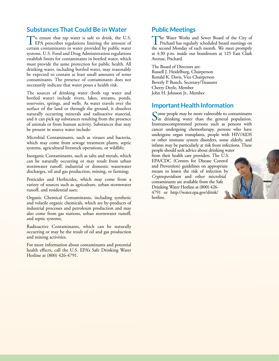### **Substances That Could Be in Water**

To ensure that tap water is safe to drink, the U.S.<br>EPA prescribes regulations limiting the amount of certain contaminants in water provided by public water systems. U.S. Food and Drug Administration regulations establish limits for contaminants in bottled water, which must provide the same protection for public health. All drinking water, including bottled water, may reasonably be expected to contain at least small amounts of some contaminants. The presence of contaminants does not necessarily indicate that water poses a health risk.

The sources of drinking water (both tap water and bottled water) include rivers, lakes, streams, ponds, reservoirs, springs, and wells. As water travels over the surface of the land or through the ground, it dissolves naturally occurring minerals and radioactive material, and it can pick up substances resulting from the presence of animals or from human activity. Substances that may be present in source water include:

Microbial Contaminants, such as viruses and bacteria, which may come from sewage treatment plants, septic systems, agricultural livestock operations, or wildlife;

Inorganic Contaminants, such as salts and metals, which can be naturally occurring or may result from urban stormwater runoff, industrial or domestic wastewater discharges, oil and gas production, mining, or farming;

Pesticides and Herbicides, which may come from a variety of sources such as agriculture, urban stormwater runoff, and residential uses;

Organic Chemical Contaminants, including synthetic and volatile organic chemicals, which are by-products of industrial processes and petroleum production and may also come from gas stations, urban stormwater runoff, and septic systems;

Radioactive Contaminants, which can be naturally occurring or may be the result of oil and gas production and mining activities.

For more information about contaminants and potential health effects, call the U.S. EPA's Safe Drinking Water Hotline at (800) 426-4791.

### **Public Meetings**

The Water Works and Sewer Board of the City of Prichard has regularly scheduled board meetings on the second Monday of each month. We meet promptly at 4:30 p.m. inside our boardroom at 125 East Clark Avenue, Prichard.

The Board of Directors are: Russell J. Heidelburg, Chairperson Ronald K. Davis, Vice Chairperson Beverly P. Bunch, Secretary/Treasurer Cherry Doyle, Member John H. Johnson Jr., Member

### **Important Health Information**

Some people may be more vulnerable to contaminants  $\sum$ in drinking water than the general population. Immunocompromised persons such as persons with cancer undergoing chemotherapy, persons who have undergone organ transplants, people with HIV/AIDS or other immune system disorders, some elderly, and infants may be particularly at risk from infections. These people should seek advice about drinking water from their health care providers. The U.S. EPA/CDC (Centers for Disease Control and Prevention) guidelines on appropriate means to lessen the risk of infection by *Cryptosporidium* and other microbial contaminants are available from the Safe Drinking Water Hotline at (800) 426- 4791 or [http://water.epa.gov/drink/](http://water.epa.gov/drink/hotline) [hotline](http://water.epa.gov/drink/hotline).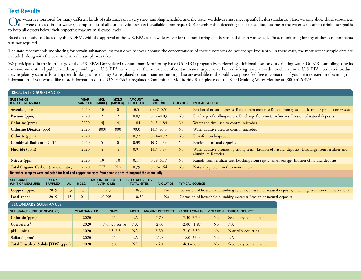# **Test Results**

Our water is monitored for many different kinds of substances on a very strict sampling schedule, and the water we deliver must meet specific health standards. Here, we only show those substances that were detected in our to keep all detects below their respective maximum allowed levels.

Based on a study conducted by the ADEM, with the approval of the U.S. EPA, a statewide waiver for the monitoring of asbestos and dioxin was issued. Thus, monitoring for any of these contaminants was not required.

The state recommends monitoring for certain substances less than once per year because the concentrations of these substances do not change frequently. In these cases, the most recent sample data are included, along with the year in which the sample was taken.

We participated in the fourth stage of the U.S. EPA's Unregulated Contaminant Monitoring Rule (UCMR4) program by performing additional tests on our drinking water. UCMR4 sampling benefits the environment and public health by providing the U.S. EPA with data on the occurrence of contaminants suspected to be in drinking water in order to determine if U.S. EPA needs to introduce new regulatory standards to improve drinking water quality. Unregulated contaminant monitoring data are available to the public, so please feel free to contact us if you are interested in obtaining that information. If you would like more information on the U.S. EPA's Unregulated Contaminant Monitoring Rule, please call the Safe Drinking Water Hotline at (800) 426-4791.

| <b>REGULATED SUBSTANCES</b>                 |                               |                      |                        |                                  |                                 |                  |                                                                                                                         |  |  |
|---------------------------------------------|-------------------------------|----------------------|------------------------|----------------------------------|---------------------------------|------------------|-------------------------------------------------------------------------------------------------------------------------|--|--|
| <b>SUBSTANCE</b><br>(UNIT OF MEASURE)       | <b>YEAR</b><br><b>SAMPLED</b> | <b>MCL</b><br>[MRDL] | <b>MCLG</b><br>[MRDLG] | <b>AMOUNT</b><br><b>DETECTED</b> | <b>RANGE</b><br><b>LOW-HIGH</b> | <b>VIOLATION</b> | <b>TYPICAL SOURCE</b>                                                                                                   |  |  |
| <b>Arsenic</b> (ppb)                        | 2020                          | 10                   | $\theta$               | 0.5                              | $<0.37-0.51$                    | N <sub>o</sub>   | Erosion of natural deposits; Runoff from orchards; Runoff from glass and electronics production wastes                  |  |  |
| Barium (ppm)                                | 2020                          | $\overline{2}$       | $\overline{2}$         | 0.03                             | $0.02 - 0.03$                   | N <sub>o</sub>   | Discharge of drilling wastes; Discharge from metal refineries; Erosion of natural deposits                              |  |  |
| <b>Chlorine</b> (ppm)                       | 2020                          | $[4]$                | $[4]$                  | 1.84                             | $0.63 - 1.84$                   | No               | Water additive used to control microbes                                                                                 |  |  |
| <b>Chlorine Dioxide (ppb)</b>               | 2020                          | $[800]$              | $[800]$                | 90.0                             | $ND-90.0$                       | No               | Water additive used to control microbes                                                                                 |  |  |
| <b>Chlorite</b> (ppm)                       | 2020                          |                      | 0.8                    | 0.72                             | $0.24 - 0.72$                   | N <sub>o</sub>   | Disinfection by-product                                                                                                 |  |  |
| <b>Combined Radium</b> (pCi/L)              | 2020                          | 5                    | $\Omega$               | 0.39                             | $ND-0.39$                       | No               | Erosion of natural deposits                                                                                             |  |  |
| <b>Fluoride</b> (ppm)                       | 2020                          | $\overline{4}$       | 4                      | 0.97                             | $ND-0.97$                       | N <sub>o</sub>   | Water additive promoting strong teeth; Erosion of natural deposits; Discharge from fertilizer and<br>aluminum factories |  |  |
| Nitrate (ppm)                               | 2020                          | 10                   | 10                     | 0.17                             | $0.09 - 0.17$                   | N <sub>o</sub>   | Runoff from fertilizer use; Leaching from septic tanks, sewage; Erosion of natural deposits                             |  |  |
| <b>Total Organic Carbon</b> (removal ratio) | 2020                          | TT <sup>1</sup>      | <b>NA</b>              | 0.79                             | $0.79 - 1.64$                   | N <sub>o</sub>   | Naturally present in the environment                                                                                    |  |  |

**Tap water samples were collected for lead and copper analyses from sample sites throughout the community**

| <b>SUBSTANCE</b><br>(UNIT OF MEASURE) | YEAR<br><b>SAMPLED</b> | ΔI | <b>MCLG</b>                      | <b>AMOUNT DETECTED</b><br>(90TH %ILE) | SITES ABOVE AL/<br><b>TOTAL SITES</b> | <b>VIOLATION</b> | <b>TYPICAL SOURCE</b>                                                                                  |
|---------------------------------------|------------------------|----|----------------------------------|---------------------------------------|---------------------------------------|------------------|--------------------------------------------------------------------------------------------------------|
| Copper <sup>2</sup> (ppm)             | 2019                   |    | $1.3$ $1.3$                      | 0.013                                 | 0/30                                  |                  | Corrosion of household plumbing systems; Erosion of natural deposits; Leaching from wood preservations |
| <b>Lead</b> <sup>3</sup> (ppb)        | 2019                   | 15 | $\begin{array}{c} 0 \end{array}$ | < 0.005                               | 0/30                                  |                  | Corrosion of household plumbing systems; Erosion of natural deposits                                   |

| <b>SECONDARY SUBSTANCES</b>               |                     |               |             |                        |                       |                  |                       |  |  |  |
|-------------------------------------------|---------------------|---------------|-------------|------------------------|-----------------------|------------------|-----------------------|--|--|--|
| <b>SUBSTANCE (UNIT OF MEASURE)</b>        | <b>YEAR SAMPLED</b> | <b>SMCL</b>   | <b>MCLG</b> | <b>AMOUNT DETECTED</b> | <b>RANGE LOW-HIGH</b> | <b>VIOLATION</b> | <b>TYPICAL SOURCE</b> |  |  |  |
| <b>Chloride</b> (ppm)                     | 2020                | 250           | <b>NA</b>   | 7.70                   | $7.30 - 7.70$         | No               | Secondary contaminant |  |  |  |
| Corrosivity <sup>4</sup>                  | 2020                | Non-corrosive | <b>NA</b>   | $-2.00$                | $-2.00 - 1.87$        | No               | <b>NA</b>             |  |  |  |
| $\mathbf{p}H^4$ (units)                   | 2020                | $6.5 - 8.5$   | NA          | 8.30                   | $7.10 - 8.30$         | No               | Naturally occurring   |  |  |  |
| Sulfate <sup>4</sup> (ppm)                | 2020                | 250           | <b>NA</b>   | 25.0                   | $18.0 - 25.0$         | No               | <b>NA</b>             |  |  |  |
| <b>Total Dissolved Solids [TDS]</b> (ppm) | 2020                | 500           | NA          | 76.0                   | $46.0 - 76.0$         | No               | Secondary contaminant |  |  |  |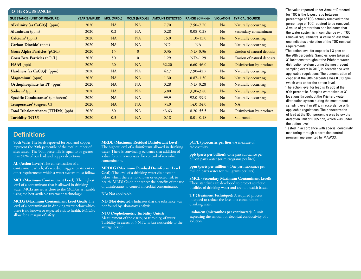| <b>OTHER SUBSTANCES</b>                            |                     |                   |                     |                        |                       |                  |                             |
|----------------------------------------------------|---------------------|-------------------|---------------------|------------------------|-----------------------|------------------|-----------------------------|
| <b>SUBSTANCE (UNIT OF MEASURE)</b>                 | <b>YEAR SAMPLED</b> | <b>MCL [MRDL]</b> | <b>MCLG [MRDLG]</b> | <b>AMOUNT DETECTED</b> | <b>RANGE LOW-HIGH</b> | <b>VIOLATION</b> | <b>TYPICAL SOURCE</b>       |
| <b>Alkalinity</b> [as $CaCO3$ ] <sup>4</sup> (ppm) | 2020                | NA                | NA                  | 7.70                   | $7.50 - 7.70$         | N <sub>o</sub>   | Naturally occurring         |
| $\textbf{Aluminum}$ (ppm)                          | 2020                | 0.2               | <b>NA</b>           | 0.28                   | $0.08 - 0.28$<br>No   |                  | Secondary contaminant       |
| Calcium <sup>4</sup> (ppm)                         | 2020                | NA                | <b>NA</b>           | 15.0                   | $11.0 - 15.0$         | N <sub>o</sub>   | Naturally occurring         |
| Carbon Dioxide <sup>4</sup> (ppm)                  | 2020                | <b>NA</b>         | <b>NA</b>           | <b>ND</b>              | <b>NA</b>             | No               | Naturally occurring         |
| <b>Gross Alpha Particles</b> (pCi/L)               | 2020                | 15                | $\mathbf{0}$        | 0.36                   | $ND-0.36$             | N <sub>o</sub>   | Erosion of natural deposits |
| Gross Beta Particles (pCi/L)                       | 2020                | 50                | $\mathbf{0}$        | 1.29                   | $ND-1.29$             | N <sub>o</sub>   | Erosion of natural deposits |
| $HAA5$ (ppb)                                       | 2020                | 60                | <b>NA</b>           | 32.20                  | $6.60 - 46.0$         | N <sub>o</sub>   | Disinfection by-product     |
| Hardness [as CaC03] <sup>4</sup> (ppm)             | 2020                | NA                | <b>NA</b>           | 42.7                   | $7.90 - 42.7$         | N <sub>o</sub>   | Naturally occurring         |
| Magnesium <sup>4</sup> (ppm)                       | 2020                | <b>NA</b>         | <b>NA</b>           | 1.30                   | $0.87 - 1.30$         | N <sub>o</sub>   | Naturally occurring         |
| <b>Orthophosphate</b> [as $P$ ] <sup>4</sup> (ppm) | 2020                | NA                | <b>NA</b>           | 0.28                   | $ND-0.28$             | No               | Naturally occurring         |
| <b>Sodium</b> <sup>4</sup> (ppm)                   | 2020                | NA                | NA                  | 3.80                   | $3.30 - 3.80$         | N <sub>o</sub>   | Naturally occurring         |
| Specific Conductance <sup>4</sup> (µmho/cm)        | 2020                | NA                | <b>NA</b>           | 99.9                   | $92.0 - 99.9$         | N <sub>o</sub>   | Naturally occurring         |
| Temperature <sup>4</sup> (degrees C)               | 2020                | NA                | <b>NA</b>           | 34.0                   | $14.0 - 34.0$         | N <sub>o</sub>   | NA                          |
| Total Trihalomethanes [TTHMs] (ppb)                | 2020                | 80                | NA                  | 43.63                  | $8.20 - 55.5$         | N <sub>o</sub>   | Disinfection by-product     |
| <b>Turbidity (NTU)</b>                             | 2020                | 0.3               | <b>NA</b>           | 0.18                   | $0.01 - 0.18$         | N <sub>o</sub>   | Soil runoff                 |

## **Definitions**

**90th %ile:** The levels reported for lead and copper represent the 90th percentile of the total number of sites tested. The 90th percentile is equal to or greater than 90% of our lead and copper detections.

**AL (Action Level):** The concentration of a contaminant which, if exceeded, triggers treatment or other requirements which a water system must follow.

**MCL (Maximum Contaminant Level):** The highest level of a contaminant that is allowed in drinking water. MCLs are set as close to the MCLGs as feasible using the best available treatment technology.

**MCLG (Maximum Contaminant Level Goal):** The level of a contaminant in drinking water below which there is no known or expected risk to health. MCLGs allow for a margin of safety.

**MRDL (Maximum Residual Disinfectant Level):** The highest level of a disinfectant allowed in drinking water. There is convincing evidence that addition of a disinfectant is necessary for control of microbial contaminants.

**MRDLG (Maximum Residual Disinfectant Level Goal):** The level of a drinking water disinfectant below which there is no known or expected risk to health. MRDLGs do not reflect the benefits of the use of disinfectants to control microbial contaminants.

**NA:** Not applicable.

**ND (Not detected):** Indicates that the substance was not found by laboratory analysis.

**NTU (Nephelometric Turbidity Units):** Measurement of the clarity, or turbidity, of water. Turbidity in excess of 5 NTU is just noticeable to the average person.

**pCi/L (picocuries per liter):** A measure of radioactivity.

**ppb (parts per billion):** One part substance per billion parts water (or micrograms per liter).

**ppm (parts per million):** One part substance per million parts water (or milligrams per liter).

**SMCL (Secondary Maximum Contaminant Level):** These standards are developed to protect aesthetic qualities of drinking water and are not health based.

**TT (Treatment Technique):** A required process intended to reduce the level of a contaminant in drinking water.

**µmho/cm (micromhos per centimeter):** A unit expressing the amount of electrical conductivity of a solution.

1 The value reported under Amount Detected for TOC is the lowest ratio between percentage of TOC actually removed to the percentage of TOC required to be removed. A value of greater than one indicates that the water system is in compliance with TOC removal requirements. A value of less than one indicates a violation of the TOC removal requirements.

2 The action level for copper is 1.3 ppm at the 90th percentile. Samples were taken at 30 locations throughout the Prichard water distribution system during the most recent sampling event in 2019, in accordance with applicable regulations. The concentration of copper at the 90th percentile was 0.013 ppm, which was under the action level.

- <sup>3</sup> The action level for lead is 15 ppb at the 90th percentile. Samples were taken at 30 locations throughout the Prichard water distribution system during the most recent sampling event in 2019, in accordance with applicable regulations. The concentration of lead at the 90th percentile was below the detection limit of 0.005 ppb, which was under the action level.
- 4 Tested in accordance with special corrosivity monitoring through a corrosion control program implemented by MAWSS.